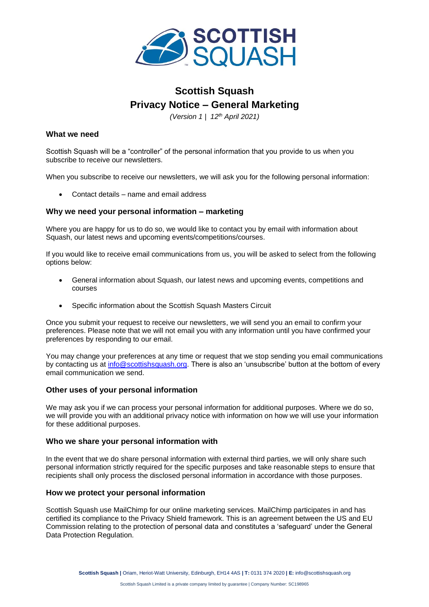

# **Scottish Squash Privacy Notice – General Marketing**

*(Version 1 | 12th April 2021)*

### **What we need**

Scottish Squash will be a "controller" of the personal information that you provide to us when you subscribe to receive our newsletters.

When you subscribe to receive our newsletters, we will ask you for the following personal information:

• Contact details – name and email address

# **Why we need your personal information – marketing**

Where you are happy for us to do so, we would like to contact you by email with information about Squash, our latest news and upcoming events/competitions/courses.

If you would like to receive email communications from us, you will be asked to select from the following options below:

- General information about Squash, our latest news and upcoming events, competitions and courses
- Specific information about the Scottish Squash Masters Circuit

Once you submit your request to receive our newsletters, we will send you an email to confirm your preferences. Please note that we will not email you with any information until you have confirmed your preferences by responding to our email.

You may change your preferences at any time or request that we stop sending you email communications by contacting us at [info@scottishsquash.org.](mailto:info@scottishsquash.org) There is also an 'unsubscribe' button at the bottom of every email communication we send.

# **Other uses of your personal information**

We may ask you if we can process your personal information for additional purposes. Where we do so, we will provide you with an additional privacy notice with information on how we will use your information for these additional purposes.

#### **Who we share your personal information with**

In the event that we do share personal information with external third parties, we will only share such personal information strictly required for the specific purposes and take reasonable steps to ensure that recipients shall only process the disclosed personal information in accordance with those purposes.

#### **How we protect your personal information**

Scottish Squash use MailChimp for our online marketing services. MailChimp participates in and has certified its compliance to the Privacy Shield framework. This is an agreement between the US and EU Commission relating to the protection of personal data and constitutes a 'safeguard' under the General Data Protection Regulation.